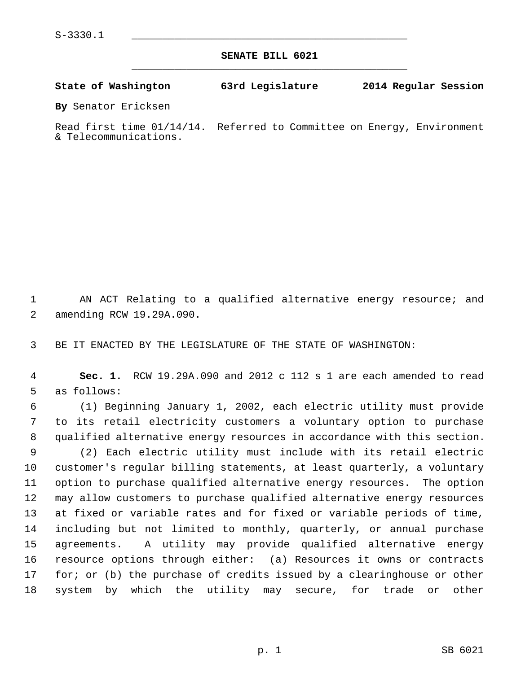**SENATE BILL 6021** \_\_\_\_\_\_\_\_\_\_\_\_\_\_\_\_\_\_\_\_\_\_\_\_\_\_\_\_\_\_\_\_\_\_\_\_\_\_\_\_\_\_\_\_\_

**State of Washington 63rd Legislature 2014 Regular Session**

**By** Senator Ericksen

Read first time 01/14/14. Referred to Committee on Energy, Environment & Telecommunications.

 1 AN ACT Relating to a qualified alternative energy resource; and 2 amending RCW 19.29A.090.

3 BE IT ENACTED BY THE LEGISLATURE OF THE STATE OF WASHINGTON:

 4 **Sec. 1.** RCW 19.29A.090 and 2012 c 112 s 1 are each amended to read 5 as follows:

 6 (1) Beginning January 1, 2002, each electric utility must provide 7 to its retail electricity customers a voluntary option to purchase 8 qualified alternative energy resources in accordance with this section. 9 (2) Each electric utility must include with its retail electric 10 customer's regular billing statements, at least quarterly, a voluntary 11 option to purchase qualified alternative energy resources. The option 12 may allow customers to purchase qualified alternative energy resources 13 at fixed or variable rates and for fixed or variable periods of time, 14 including but not limited to monthly, quarterly, or annual purchase 15 agreements. A utility may provide qualified alternative energy 16 resource options through either: (a) Resources it owns or contracts 17 for; or (b) the purchase of credits issued by a clearinghouse or other 18 system by which the utility may secure, for trade or other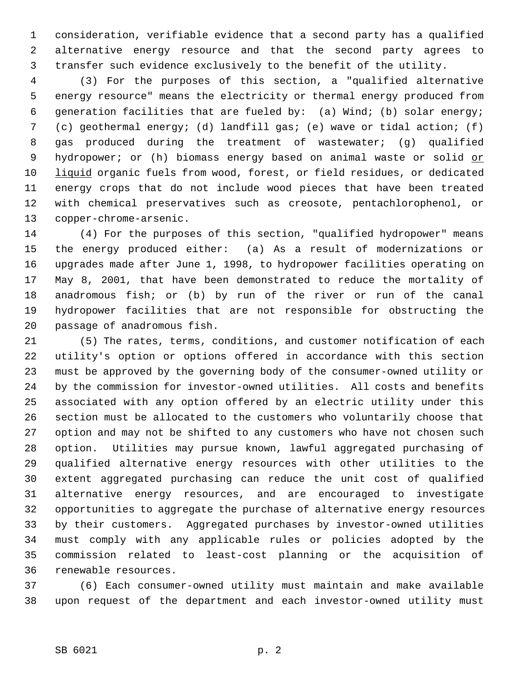1 consideration, verifiable evidence that a second party has a qualified 2 alternative energy resource and that the second party agrees to 3 transfer such evidence exclusively to the benefit of the utility.

 4 (3) For the purposes of this section, a "qualified alternative 5 energy resource" means the electricity or thermal energy produced from 6 generation facilities that are fueled by: (a) Wind; (b) solar energy; 7 (c) geothermal energy; (d) landfill gas; (e) wave or tidal action; (f) 8 gas produced during the treatment of wastewater; (g) qualified 9 hydropower; or (h) biomass energy based on animal waste or solid or 10 liquid organic fuels from wood, forest, or field residues, or dedicated 11 energy crops that do not include wood pieces that have been treated 12 with chemical preservatives such as creosote, pentachlorophenol, or 13 copper-chrome-arsenic.

14 (4) For the purposes of this section, "qualified hydropower" means 15 the energy produced either: (a) As a result of modernizations or 16 upgrades made after June 1, 1998, to hydropower facilities operating on 17 May 8, 2001, that have been demonstrated to reduce the mortality of 18 anadromous fish; or (b) by run of the river or run of the canal 19 hydropower facilities that are not responsible for obstructing the 20 passage of anadromous fish.

21 (5) The rates, terms, conditions, and customer notification of each 22 utility's option or options offered in accordance with this section 23 must be approved by the governing body of the consumer-owned utility or 24 by the commission for investor-owned utilities. All costs and benefits 25 associated with any option offered by an electric utility under this 26 section must be allocated to the customers who voluntarily choose that 27 option and may not be shifted to any customers who have not chosen such 28 option. Utilities may pursue known, lawful aggregated purchasing of 29 qualified alternative energy resources with other utilities to the 30 extent aggregated purchasing can reduce the unit cost of qualified 31 alternative energy resources, and are encouraged to investigate 32 opportunities to aggregate the purchase of alternative energy resources 33 by their customers. Aggregated purchases by investor-owned utilities 34 must comply with any applicable rules or policies adopted by the 35 commission related to least-cost planning or the acquisition of 36 renewable resources.

37 (6) Each consumer-owned utility must maintain and make available 38 upon request of the department and each investor-owned utility must